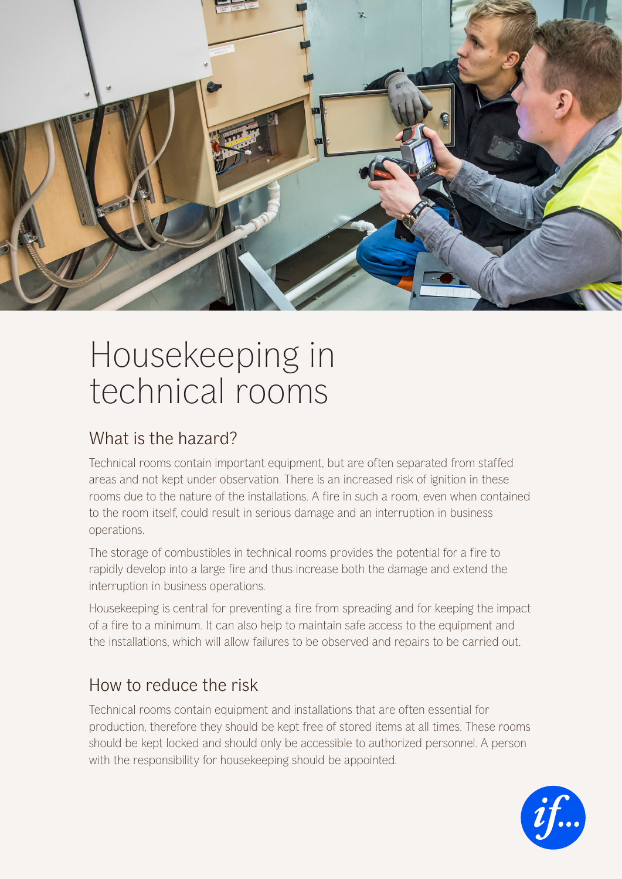

## Housekeeping in technical rooms

## What is the hazard?

Technical rooms contain important equipment, but are often separated from staffed areas and not kept under observation. There is an increased risk of ignition in these rooms due to the nature of the installations. A fire in such a room, even when contained to the room itself, could result in serious damage and an interruption in business operations.

The storage of combustibles in technical rooms provides the potential for a fire to rapidly develop into a large fire and thus increase both the damage and extend the interruption in business operations.

Housekeeping is central for preventing a fire from spreading and for keeping the impact of a fire to a minimum. It can also help to maintain safe access to the equipment and the installations, which will allow failures to be observed and repairs to be carried out.

## How to reduce the risk

Technical rooms contain equipment and installations that are often essential for production, therefore they should be kept free of stored items at all times. These rooms should be kept locked and should only be accessible to authorized personnel. A person with the responsibility for housekeeping should be appointed.